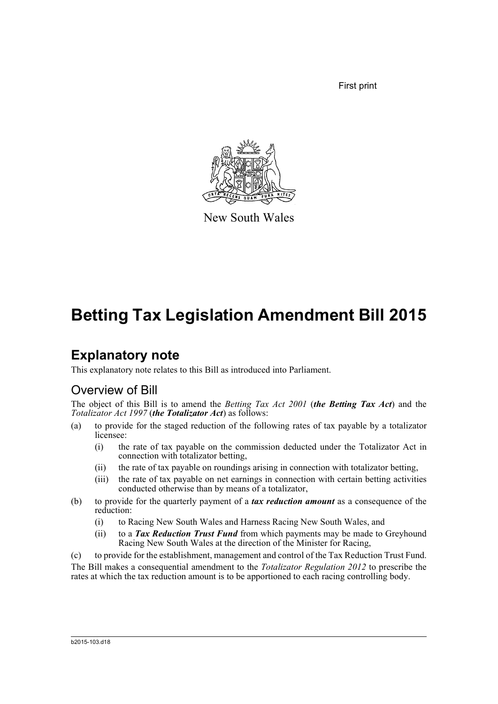First print



New South Wales

## **Betting Tax Legislation Amendment Bill 2015**

## **Explanatory note**

This explanatory note relates to this Bill as introduced into Parliament.

## Overview of Bill

The object of this Bill is to amend the *Betting Tax Act 2001* (*the Betting Tax Act*) and the *Totalizator Act 1997* (*the Totalizator Act*) as follows:

- (a) to provide for the staged reduction of the following rates of tax payable by a totalizator licensee:
	- (i) the rate of tax payable on the commission deducted under the Totalizator Act in connection with totalizator betting,
	- (ii) the rate of tax payable on roundings arising in connection with totalizator betting,
	- (iii) the rate of tax payable on net earnings in connection with certain betting activities conducted otherwise than by means of a totalizator,
- (b) to provide for the quarterly payment of a *tax reduction amount* as a consequence of the reduction:
	- (i) to Racing New South Wales and Harness Racing New South Wales, and
	- (ii) to a *Tax Reduction Trust Fund* from which payments may be made to Greyhound Racing New South Wales at the direction of the Minister for Racing,

(c) to provide for the establishment, management and control of the Tax Reduction Trust Fund. The Bill makes a consequential amendment to the *Totalizator Regulation 2012* to prescribe the rates at which the tax reduction amount is to be apportioned to each racing controlling body.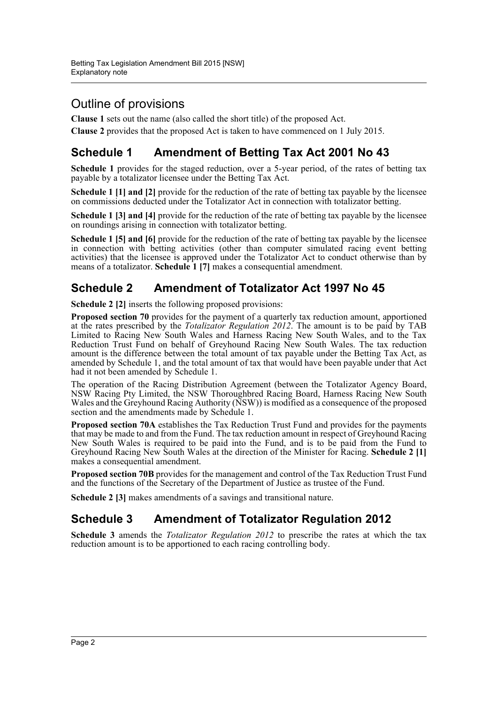## Outline of provisions

**Clause 1** sets out the name (also called the short title) of the proposed Act.

**Clause 2** provides that the proposed Act is taken to have commenced on 1 July 2015.

## **Schedule 1 Amendment of Betting Tax Act 2001 No 43**

**Schedule 1** provides for the staged reduction, over a 5-year period, of the rates of betting tax payable by a totalizator licensee under the Betting Tax Act.

**Schedule 1 [1] and [2]** provide for the reduction of the rate of betting tax payable by the licensee on commissions deducted under the Totalizator Act in connection with totalizator betting.

**Schedule 1 [3] and [4]** provide for the reduction of the rate of betting tax payable by the licensee on roundings arising in connection with totalizator betting.

**Schedule 1 [5] and [6]** provide for the reduction of the rate of betting tax payable by the licensee in connection with betting activities (other than computer simulated racing event betting activities) that the licensee is approved under the Totalizator Act to conduct otherwise than by means of a totalizator. **Schedule 1 [7]** makes a consequential amendment.

### **Schedule 2 Amendment of Totalizator Act 1997 No 45**

**Schedule 2 [2]** inserts the following proposed provisions:

**Proposed section 70** provides for the payment of a quarterly tax reduction amount, apportioned at the rates prescribed by the *Totalizator Regulation 2012*. The amount is to be paid by TAB Limited to Racing New South Wales and Harness Racing New South Wales, and to the Tax Reduction Trust Fund on behalf of Greyhound Racing New South Wales. The tax reduction amount is the difference between the total amount of tax payable under the Betting Tax Act, as amended by Schedule 1, and the total amount of tax that would have been payable under that Act had it not been amended by Schedule 1.

The operation of the Racing Distribution Agreement (between the Totalizator Agency Board, NSW Racing Pty Limited, the NSW Thoroughbred Racing Board, Harness Racing New South Wales and the Greyhound Racing Authority (NSW)) is modified as a consequence of the proposed section and the amendments made by Schedule 1.

**Proposed section 70A** establishes the Tax Reduction Trust Fund and provides for the payments that may be made to and from the Fund. The tax reduction amount in respect of Greyhound Racing New South Wales is required to be paid into the Fund, and is to be paid from the Fund to Greyhound Racing New South Wales at the direction of the Minister for Racing. **Schedule 2 [1]** makes a consequential amendment.

**Proposed section 70B** provides for the management and control of the Tax Reduction Trust Fund and the functions of the Secretary of the Department of Justice as trustee of the Fund.

**Schedule 2 [3]** makes amendments of a savings and transitional nature.

#### **Schedule 3 Amendment of Totalizator Regulation 2012**

**Schedule 3** amends the *Totalizator Regulation 2012* to prescribe the rates at which the tax reduction amount is to be apportioned to each racing controlling body.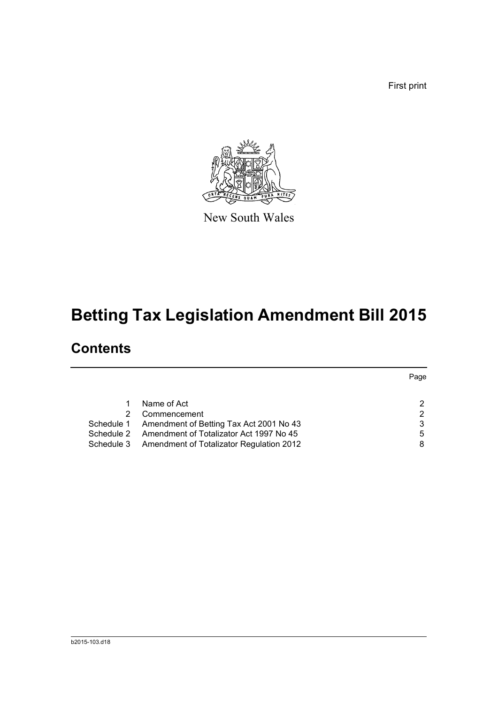First print



New South Wales

# **Betting Tax Legislation Amendment Bill 2015**

## **Contents**

|            |                                                     | Page |
|------------|-----------------------------------------------------|------|
|            |                                                     |      |
|            | Name of Act                                         |      |
|            | Commencement                                        |      |
|            | Schedule 1 Amendment of Betting Tax Act 2001 No 43  |      |
| Schedule 2 | Amendment of Totalizator Act 1997 No 45             | 5    |
|            | Schedule 3 Amendment of Totalizator Regulation 2012 |      |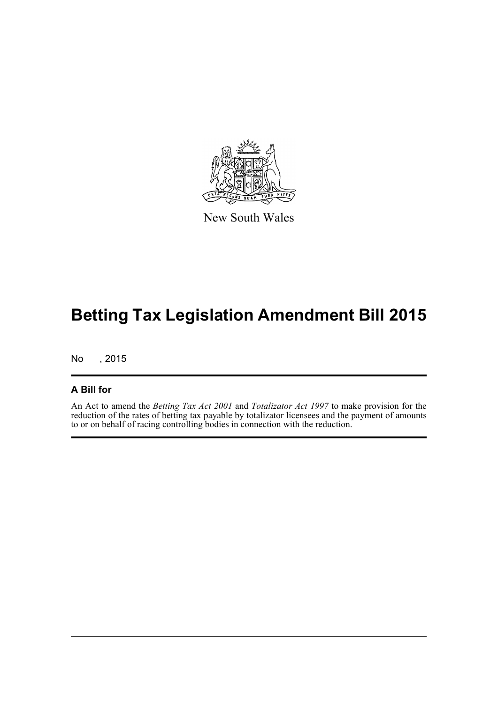

New South Wales

## **Betting Tax Legislation Amendment Bill 2015**

No , 2015

#### **A Bill for**

An Act to amend the *Betting Tax Act 2001* and *Totalizator Act 1997* to make provision for the reduction of the rates of betting tax payable by totalizator licensees and the payment of amounts to or on behalf of racing controlling bodies in connection with the reduction.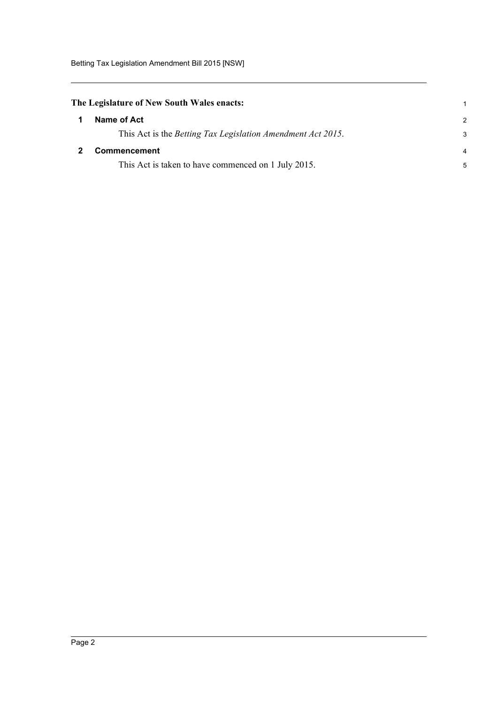<span id="page-4-0"></span>

| The Legislature of New South Wales enacts: |  |  |  |  |  |  |
|--------------------------------------------|--|--|--|--|--|--|
|--------------------------------------------|--|--|--|--|--|--|

<span id="page-4-1"></span>

| -1           | Name of Act                                                         | $\mathcal{P}$ |
|--------------|---------------------------------------------------------------------|---------------|
|              | This Act is the <i>Betting Tax Legislation Amendment Act 2015</i> . | 3             |
| $\mathbf{2}$ | <b>Commencement</b>                                                 | 4             |
|              | This Act is taken to have commenced on 1 July 2015.                 | 5             |

1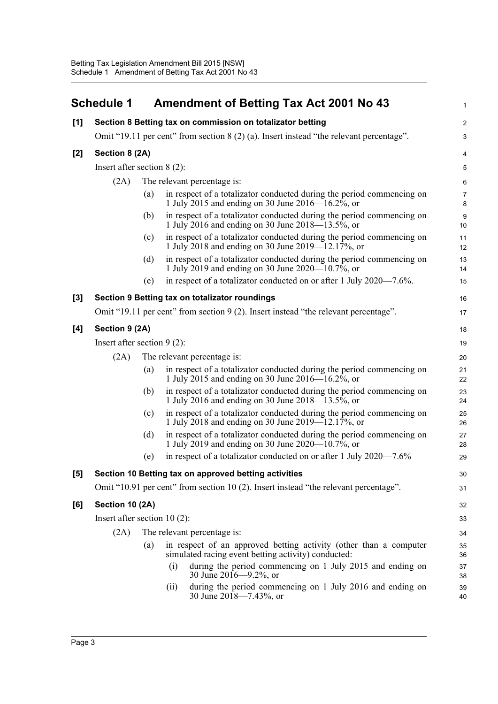<span id="page-5-0"></span>

|       | <b>Schedule 1</b>                                                                       |     | <b>Amendment of Betting Tax Act 2001 No 43</b>                                                                             | $\mathbf{1}$            |  |
|-------|-----------------------------------------------------------------------------------------|-----|----------------------------------------------------------------------------------------------------------------------------|-------------------------|--|
| [1]   |                                                                                         |     | Section 8 Betting tax on commission on totalizator betting                                                                 | $\overline{\mathbf{c}}$ |  |
|       | Omit "19.11 per cent" from section 8 (2) (a). Insert instead "the relevant percentage". |     |                                                                                                                            |                         |  |
| $[2]$ | Section 8 (2A)                                                                          |     |                                                                                                                            | 4                       |  |
|       | Insert after section $8(2)$ :                                                           |     |                                                                                                                            | 5                       |  |
|       | (2A)                                                                                    |     | The relevant percentage is:                                                                                                | 6                       |  |
|       |                                                                                         | (a) | in respect of a totalizator conducted during the period commencing on<br>1 July 2015 and ending on 30 June 2016—16.2%, or  | $\boldsymbol{7}$<br>8   |  |
|       |                                                                                         | (b) | in respect of a totalizator conducted during the period commencing on<br>1 July 2016 and ending on 30 June 2018–13.5%, or  | 9<br>10                 |  |
|       |                                                                                         | (c) | in respect of a totalizator conducted during the period commencing on<br>1 July 2018 and ending on 30 June 2019—12.17%, or | 11<br>12                |  |
|       |                                                                                         | (d) | in respect of a totalizator conducted during the period commencing on<br>1 July 2019 and ending on 30 June 2020—10.7%, or  | 13<br>14                |  |
|       |                                                                                         | (e) | in respect of a totalizator conducted on or after 1 July 2020—7.6%.                                                        | 15                      |  |
| $[3]$ |                                                                                         |     | Section 9 Betting tax on totalizator roundings                                                                             | 16                      |  |
|       |                                                                                         |     | Omit "19.11 per cent" from section 9 (2). Insert instead "the relevant percentage".                                        | 17                      |  |
| [4]   | Section 9 (2A)                                                                          |     |                                                                                                                            | 18                      |  |
|       | Insert after section $9(2)$ :                                                           |     |                                                                                                                            | 19                      |  |
|       | (2A)                                                                                    |     | The relevant percentage is:                                                                                                | 20                      |  |
|       |                                                                                         | (a) | in respect of a totalizator conducted during the period commencing on<br>1 July 2015 and ending on 30 June 2016—16.2%, or  | 21<br>22                |  |
|       |                                                                                         | (b) | in respect of a totalizator conducted during the period commencing on<br>1 July 2016 and ending on 30 June 2018—13.5%, or  | 23<br>24                |  |
|       |                                                                                         | (c) | in respect of a totalizator conducted during the period commencing on<br>1 July 2018 and ending on 30 June 2019—12.17%, or | 25<br>26                |  |
|       |                                                                                         | (d) | in respect of a totalizator conducted during the period commencing on<br>1 July 2019 and ending on 30 June 2020—10.7%, or  | 27<br>28                |  |
|       |                                                                                         | (e) | in respect of a totalizator conducted on or after 1 July 2020—7.6%                                                         | 29                      |  |
| $[5]$ |                                                                                         |     | Section 10 Betting tax on approved betting activities                                                                      | 30                      |  |
|       |                                                                                         |     | Omit "10.91 per cent" from section 10 (2). Insert instead "the relevant percentage".                                       | 31                      |  |
| [6]   | Section 10 (2A)                                                                         |     |                                                                                                                            | 32                      |  |
|       | Insert after section $10(2)$ :                                                          |     |                                                                                                                            | 33                      |  |
|       | (2A)                                                                                    |     | The relevant percentage is:                                                                                                | 34                      |  |
|       |                                                                                         | (a) | in respect of an approved betting activity (other than a computer<br>simulated racing event betting activity) conducted:   | 35<br>36                |  |
|       |                                                                                         |     | during the period commencing on 1 July 2015 and ending on<br>(i)<br>30 June $2016 - 9.2\%$ , or                            | 37<br>38                |  |
|       |                                                                                         |     | during the period commencing on 1 July 2016 and ending on<br>(ii)<br>30 June $2018 - 7.43\%$ , or                          | 39<br>40                |  |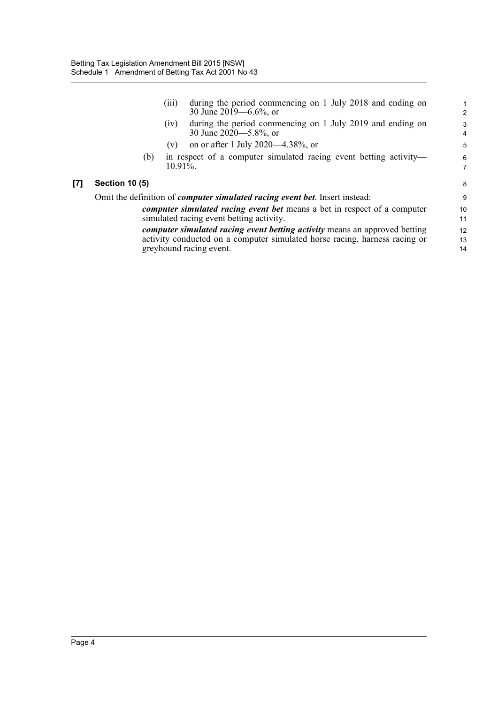|       |                                                                                                                      | (111)       | during the period commencing on 1 July 2018 and ending on<br>30 June 2019 –6.6%, or                                                                                                        | 1<br>$\overline{2}$ |  |
|-------|----------------------------------------------------------------------------------------------------------------------|-------------|--------------------------------------------------------------------------------------------------------------------------------------------------------------------------------------------|---------------------|--|
|       |                                                                                                                      | (iv)        | during the period commencing on 1 July 2019 and ending on<br>30 June 2020—5.8%, or                                                                                                         | 3<br>4              |  |
|       |                                                                                                                      | (v)         | on or after 1 July 2020—4.38%, or                                                                                                                                                          | 5                   |  |
|       | (b)                                                                                                                  | $10.91\%$ . | in respect of a computer simulated racing event betting activity—                                                                                                                          | 6<br>$\overline{7}$ |  |
| $[7]$ | <b>Section 10 (5)</b>                                                                                                |             |                                                                                                                                                                                            | 8                   |  |
|       | Omit the definition of <i>computer simulated racing event bet</i> . Insert instead:                                  |             |                                                                                                                                                                                            |                     |  |
|       | computer simulated racing event bet means a bet in respect of a computer<br>simulated racing event betting activity. |             |                                                                                                                                                                                            |                     |  |
|       |                                                                                                                      |             | <i>computer simulated racing event betting activity</i> means an approved betting<br>activity conducted on a computer simulated horse racing, harness racing or<br>greyhound racing event. | 12<br>13<br>14      |  |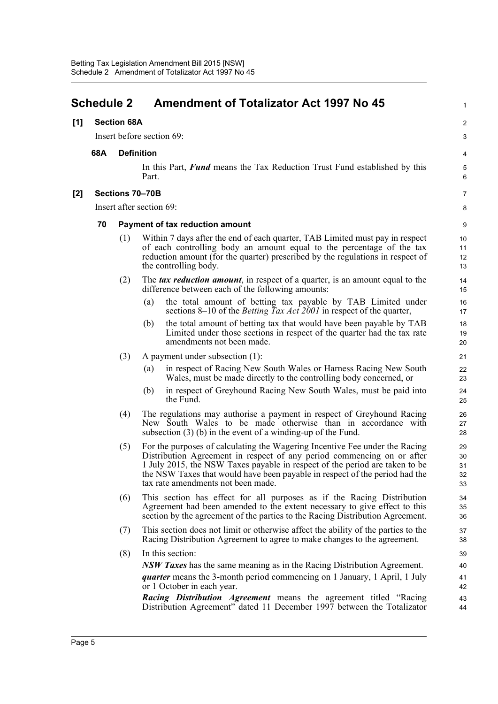#### <span id="page-7-0"></span>**Schedule 2 Amendment of Totalizator Act 1997 No 45 [1] Section 68A** Insert before section 69: **68A Definition** In this Part, *Fund* means the Tax Reduction Trust Fund established by this Part. **[2] Sections 70–70B** Insert after section 69: **70 Payment of tax reduction amount** (1) Within 7 days after the end of each quarter, TAB Limited must pay in respect of each controlling body an amount equal to the percentage of the tax reduction amount (for the quarter) prescribed by the regulations in respect of the controlling body. (2) The *tax reduction amount*, in respect of a quarter, is an amount equal to the difference between each of the following amounts: (a) the total amount of betting tax payable by TAB Limited under sections 8–10 of the *Betting Tax Act 2001* in respect of the quarter, (b) the total amount of betting tax that would have been payable by TAB Limited under those sections in respect of the quarter had the tax rate amendments not been made. (3) A payment under subsection (1): (a) in respect of Racing New South Wales or Harness Racing New South Wales, must be made directly to the controlling body concerned, or (b) in respect of Greyhound Racing New South Wales, must be paid into the Fund. (4) The regulations may authorise a payment in respect of Greyhound Racing New South Wales to be made otherwise than in accordance with subsection (3) (b) in the event of a winding-up of the Fund. (5) For the purposes of calculating the Wagering Incentive Fee under the Racing Distribution Agreement in respect of any period commencing on or after 1 July 2015, the NSW Taxes payable in respect of the period are taken to be the NSW Taxes that would have been payable in respect of the period had the tax rate amendments not been made. (6) This section has effect for all purposes as if the Racing Distribution Agreement had been amended to the extent necessary to give effect to this section by the agreement of the parties to the Racing Distribution Agreement. (7) This section does not limit or otherwise affect the ability of the parties to the Racing Distribution Agreement to agree to make changes to the agreement. (8) In this section: *NSW Taxes* has the same meaning as in the Racing Distribution Agreement. *quarter* means the 3-month period commencing on 1 January, 1 April, 1 July or 1 October in each year. *Racing Distribution Agreement* means the agreement titled "Racing Distribution Agreement" dated 11 December 1997 between the Totalizator 1  $\mathfrak{p}$ 3  $\overline{A}$ 5 6 7 8 9 10 11 12 13 14 15 16 17 18 19 20 21 22 23 24 25 26 27 28 29 30 31 32 33 34 35 36 37 38 39 40 41 42 43 44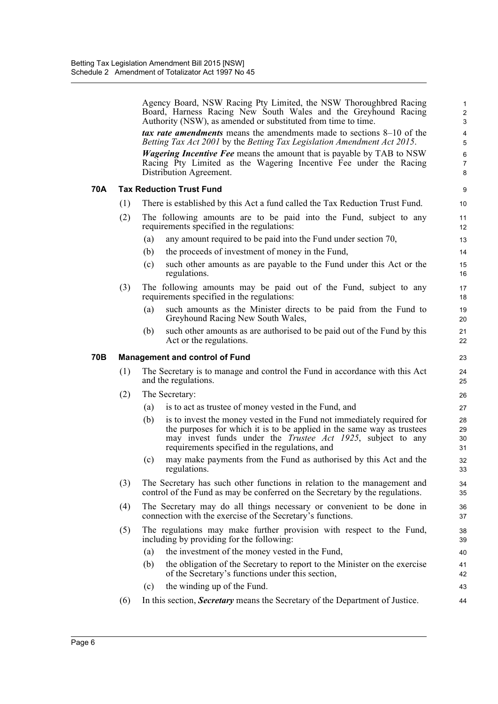|     |     | Agency Board, NSW Racing Pty Limited, the NSW Thoroughbred Racing<br>Board, Harness Racing New South Wales and the Greyhound Racing<br>Authority (NSW), as amended or substituted from time to time.                                                                             | $\mathbf{1}$<br>$\overline{c}$<br>3 |
|-----|-----|----------------------------------------------------------------------------------------------------------------------------------------------------------------------------------------------------------------------------------------------------------------------------------|-------------------------------------|
|     |     | <i>tax rate amendments</i> means the amendments made to sections 8–10 of the                                                                                                                                                                                                     | $\overline{\mathbf{4}}$             |
|     |     | Betting Tax Act 2001 by the Betting Tax Legislation Amendment Act 2015.                                                                                                                                                                                                          | 5                                   |
|     |     | <i>Wagering Incentive Fee</i> means the amount that is payable by TAB to NSW<br>Racing Pty Limited as the Wagering Incentive Fee under the Racing                                                                                                                                | $\,6\,$<br>$\overline{7}$           |
|     |     | Distribution Agreement.                                                                                                                                                                                                                                                          | 8                                   |
| 70A |     | <b>Tax Reduction Trust Fund</b>                                                                                                                                                                                                                                                  | 9                                   |
|     | (1) | There is established by this Act a fund called the Tax Reduction Trust Fund.                                                                                                                                                                                                     | 10                                  |
|     | (2) | The following amounts are to be paid into the Fund, subject to any<br>requirements specified in the regulations:                                                                                                                                                                 | 11<br>12                            |
|     |     | any amount required to be paid into the Fund under section 70,<br>(a)                                                                                                                                                                                                            | 13                                  |
|     |     | the proceeds of investment of money in the Fund,<br>(b)                                                                                                                                                                                                                          | 14                                  |
|     |     | such other amounts as are payable to the Fund under this Act or the<br>(c)<br>regulations.                                                                                                                                                                                       | 15<br>16                            |
|     | (3) | The following amounts may be paid out of the Fund, subject to any<br>requirements specified in the regulations:                                                                                                                                                                  | 17<br>18                            |
|     |     | such amounts as the Minister directs to be paid from the Fund to<br>(a)<br>Greyhound Racing New South Wales,                                                                                                                                                                     | 19<br>20                            |
|     |     | such other amounts as are authorised to be paid out of the Fund by this<br>(b)<br>Act or the regulations.                                                                                                                                                                        | 21<br>22                            |
| 70B |     | <b>Management and control of Fund</b>                                                                                                                                                                                                                                            | 23                                  |
|     | (1) | The Secretary is to manage and control the Fund in accordance with this Act<br>and the regulations.                                                                                                                                                                              | 24<br>25                            |
|     | (2) | The Secretary:                                                                                                                                                                                                                                                                   | 26                                  |
|     |     | is to act as trustee of money vested in the Fund, and<br>(a)                                                                                                                                                                                                                     | 27                                  |
|     |     | is to invest the money vested in the Fund not immediately required for<br>(b)<br>the purposes for which it is to be applied in the same way as trustees<br>may invest funds under the <i>Trustee Act 1925</i> , subject to any<br>requirements specified in the regulations, and | 28<br>29<br>30<br>31                |
|     |     | may make payments from the Fund as authorised by this Act and the<br>(c)<br>regulations.                                                                                                                                                                                         | 32<br>33                            |
|     | (3) | The Secretary has such other functions in relation to the management and<br>control of the Fund as may be conferred on the Secretary by the regulations.                                                                                                                         | 34<br>35                            |
|     | (4) | The Secretary may do all things necessary or convenient to be done in<br>connection with the exercise of the Secretary's functions.                                                                                                                                              | 36<br>37                            |
|     | (5) | The regulations may make further provision with respect to the Fund,<br>including by providing for the following:                                                                                                                                                                | 38<br>39                            |
|     |     | the investment of the money vested in the Fund,<br>(a)                                                                                                                                                                                                                           | 40                                  |
|     |     | the obligation of the Secretary to report to the Minister on the exercise<br>(b)<br>of the Secretary's functions under this section,                                                                                                                                             | 41<br>42                            |
|     |     | the winding up of the Fund.<br>(c)                                                                                                                                                                                                                                               | 43                                  |
|     | (6) | In this section, Secretary means the Secretary of the Department of Justice.                                                                                                                                                                                                     | 44                                  |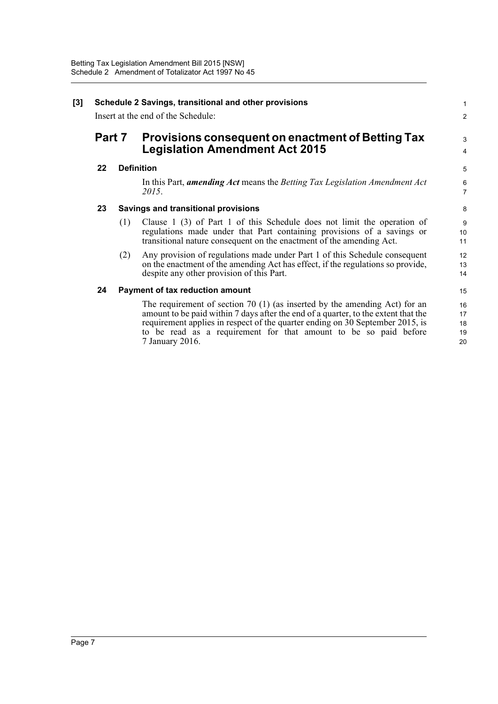| $\mathbf{[3]}$ | Schedule 2 Savings, transitional and other provisions<br>Insert at the end of the Schedule: |     |                                                                                                                                                                                                                                                                                                                                            |                            |
|----------------|---------------------------------------------------------------------------------------------|-----|--------------------------------------------------------------------------------------------------------------------------------------------------------------------------------------------------------------------------------------------------------------------------------------------------------------------------------------------|----------------------------|
|                | <b>Part 7</b>                                                                               |     | Provisions consequent on enactment of Betting Tax<br><b>Legislation Amendment Act 2015</b>                                                                                                                                                                                                                                                 |                            |
|                | 22                                                                                          |     | <b>Definition</b>                                                                                                                                                                                                                                                                                                                          | 5                          |
|                |                                                                                             |     | In this Part, <i>amending Act</i> means the <i>Betting Tax Legislation Amendment Act</i><br>2015.                                                                                                                                                                                                                                          | $\,6$<br>$\overline{7}$    |
|                | 23                                                                                          |     | <b>Savings and transitional provisions</b>                                                                                                                                                                                                                                                                                                 | 8                          |
|                |                                                                                             | (1) | Clause 1 (3) of Part 1 of this Schedule does not limit the operation of<br>regulations made under that Part containing provisions of a savings or<br>transitional nature consequent on the enactment of the amending Act.                                                                                                                  | 9<br>10<br>11              |
|                |                                                                                             | (2) | Any provision of regulations made under Part 1 of this Schedule consequent<br>on the enactment of the amending Act has effect, if the regulations so provide,<br>despite any other provision of this Part.                                                                                                                                 | 12<br>13<br>14             |
|                | 24                                                                                          |     | Payment of tax reduction amount                                                                                                                                                                                                                                                                                                            | 15                         |
|                |                                                                                             |     | The requirement of section 70 $(1)$ (as inserted by the amending Act) for an<br>amount to be paid within 7 days after the end of a quarter, to the extent that the<br>requirement applies in respect of the quarter ending on 30 September 2015, is<br>to be read as a requirement for that amount to be so paid before<br>7 January 2016. | 16<br>17<br>18<br>19<br>20 |
|                |                                                                                             |     |                                                                                                                                                                                                                                                                                                                                            |                            |